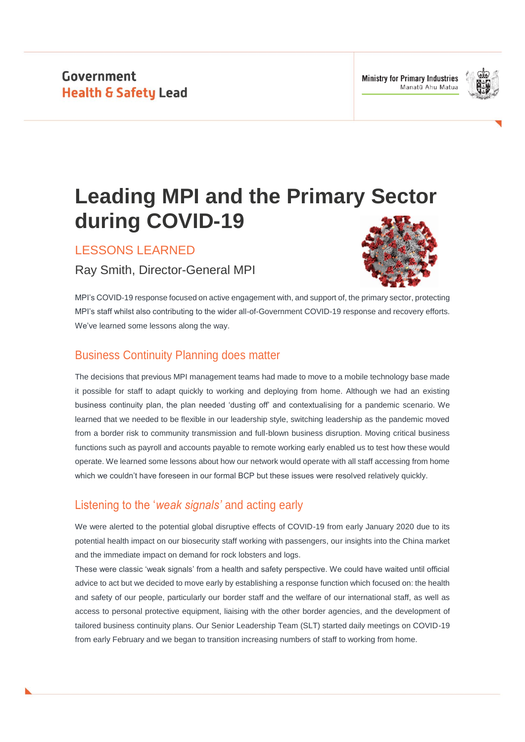

# **Leading MPI and the Primary Sector during COVID-19**

LESSONS LEARNED

Ray Smith, Director-General MPI



MPI's COVID-19 response focused on active engagement with, and support of, the primary sector, protecting MPI's staff whilst also contributing to the wider all-of-Government COVID-19 response and recovery efforts. We've learned some lessons along the way.

# Business Continuity Planning does matter

The decisions that previous MPI management teams had made to move to a mobile technology base made it possible for staff to adapt quickly to working and deploying from home. Although we had an existing business continuity plan, the plan needed 'dusting off' and contextualising for a pandemic scenario. We learned that we needed to be flexible in our leadership style, switching leadership as the pandemic moved from a border risk to community transmission and full-blown business disruption. Moving critical business functions such as payroll and accounts payable to remote working early enabled us to test how these would operate. We learned some lessons about how our network would operate with all staff accessing from home which we couldn't have foreseen in our formal BCP but these issues were resolved relatively quickly.

# Listening to the '*weak signals'* and acting early

We were alerted to the potential global disruptive effects of COVID-19 from early January 2020 due to its potential health impact on our biosecurity staff working with passengers, our insights into the China market and the immediate impact on demand for rock lobsters and logs.

These were classic 'weak signals' from a health and safety perspective. We could have waited until official advice to act but we decided to move early by establishing a response function which focused on: the health and safety of our people, particularly our border staff and the welfare of our international staff, as well as access to personal protective equipment, liaising with the other border agencies, and the development of tailored business continuity plans. Our Senior Leadership Team (SLT) started daily meetings on COVID-19 from early February and we began to transition increasing numbers of staff to working from home.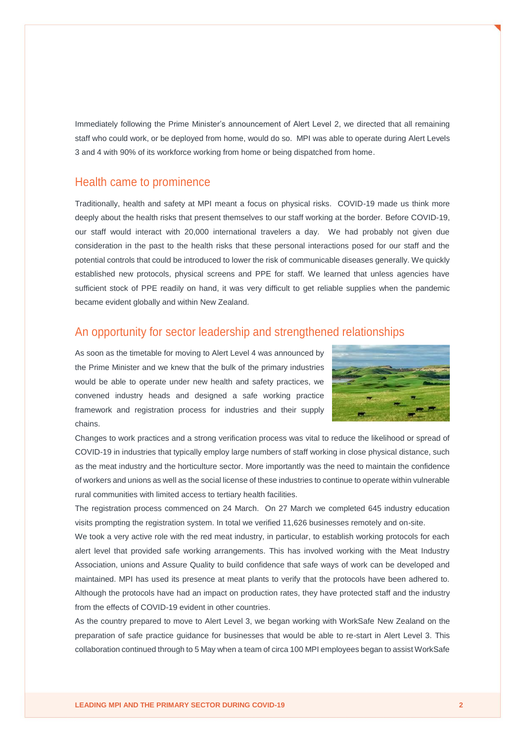Immediately following the Prime Minister's announcement of Alert Level 2, we directed that all remaining staff who could work, or be deployed from home, would do so. MPI was able to operate during Alert Levels 3 and 4 with 90% of its workforce working from home or being dispatched from home.

#### Health came to prominence

Traditionally, health and safety at MPI meant a focus on physical risks. COVID-19 made us think more deeply about the health risks that present themselves to our staff working at the border. Before COVID-19, our staff would interact with 20,000 international travelers a day. We had probably not given due consideration in the past to the health risks that these personal interactions posed for our staff and the potential controls that could be introduced to lower the risk of communicable diseases generally. We quickly established new protocols, physical screens and PPE for staff. We learned that unless agencies have sufficient stock of PPE readily on hand, it was very difficult to get reliable supplies when the pandemic became evident globally and within New Zealand.

## An opportunity for sector leadership and strengthened relationships

As soon as the timetable for moving to Alert Level 4 was announced by the Prime Minister and we knew that the bulk of the primary industries would be able to operate under new health and safety practices, we convened industry heads and designed a safe working practice framework and registration process for industries and their supply chains.



Changes to work practices and a strong verification process was vital to reduce the likelihood or spread of COVID-19 in industries that typically employ large numbers of staff working in close physical distance, such as the meat industry and the horticulture sector. More importantly was the need to maintain the confidence of workers and unions as well as the social license of these industries to continue to operate within vulnerable rural communities with limited access to tertiary health facilities.

The registration process commenced on 24 March. On 27 March we completed 645 industry education visits prompting the registration system. In total we verified 11,626 businesses remotely and on-site.

We took a very active role with the red meat industry, in particular, to establish working protocols for each alert level that provided safe working arrangements. This has involved working with the Meat Industry Association, unions and Assure Quality to build confidence that safe ways of work can be developed and maintained. MPI has used its presence at meat plants to verify that the protocols have been adhered to. Although the protocols have had an impact on production rates, they have protected staff and the industry from the effects of COVID-19 evident in other countries.

As the country prepared to move to Alert Level 3, we began working with WorkSafe New Zealand on the preparation of safe practice guidance for businesses that would be able to re-start in Alert Level 3. This collaboration continued through to 5 May when a team of circa 100 MPI employees began to assist WorkSafe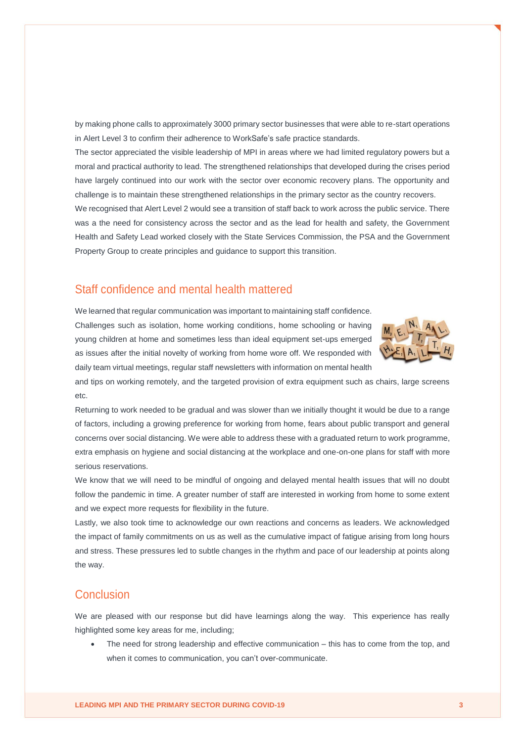by making phone calls to approximately 3000 primary sector businesses that were able to re-start operations in Alert Level 3 to confirm their adherence to WorkSafe's safe practice standards.

The sector appreciated the visible leadership of MPI in areas where we had limited regulatory powers but a moral and practical authority to lead. The strengthened relationships that developed during the crises period have largely continued into our work with the sector over economic recovery plans. The opportunity and challenge is to maintain these strengthened relationships in the primary sector as the country recovers.

We recognised that Alert Level 2 would see a transition of staff back to work across the public service. There was a the need for consistency across the sector and as the lead for health and safety, the Government Health and Safety Lead worked closely with the State Services Commission, the PSA and the Government Property Group to create principles and guidance to support this transition.

## Staff confidence and mental health mattered

We learned that regular communication was important to maintaining staff confidence. Challenges such as isolation, home working conditions, home schooling or having young children at home and sometimes less than ideal equipment set-ups emerged as issues after the initial novelty of working from home wore off. We responded with daily team virtual meetings, regular staff newsletters with information on mental health



and tips on working remotely, and the targeted provision of extra equipment such as chairs, large screens etc.

Returning to work needed to be gradual and was slower than we initially thought it would be due to a range of factors, including a growing preference for working from home, fears about public transport and general concerns over social distancing. We were able to address these with a graduated return to work programme, extra emphasis on hygiene and social distancing at the workplace and one-on-one plans for staff with more serious reservations.

We know that we will need to be mindful of ongoing and delayed mental health issues that will no doubt follow the pandemic in time. A greater number of staff are interested in working from home to some extent and we expect more requests for flexibility in the future.

Lastly, we also took time to acknowledge our own reactions and concerns as leaders. We acknowledged the impact of family commitments on us as well as the cumulative impact of fatigue arising from long hours and stress. These pressures led to subtle changes in the rhythm and pace of our leadership at points along the way.

## Conclusion

We are pleased with our response but did have learnings along the way. This experience has really highlighted some key areas for me, including;

 The need for strong leadership and effective communication – this has to come from the top, and when it comes to communication, you can't over-communicate.